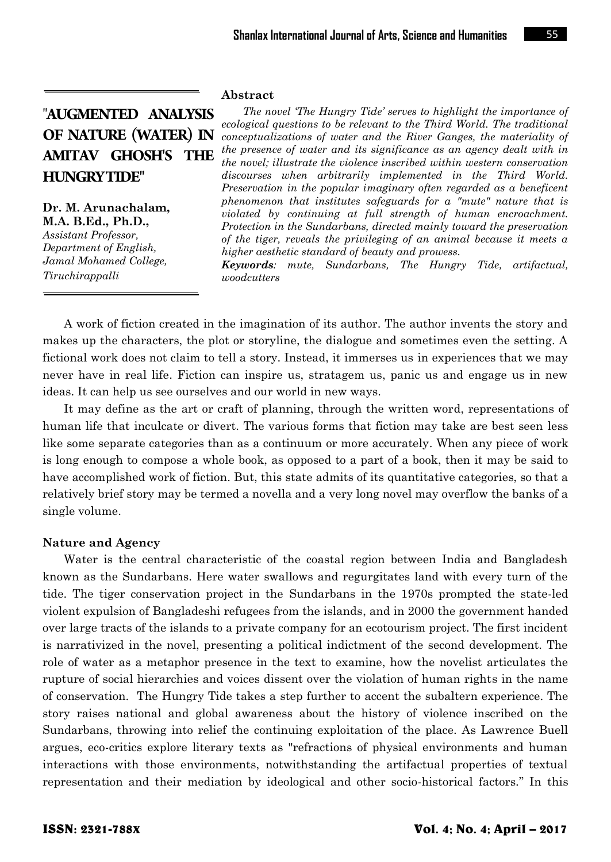# "**AUGMENTED ANALYSIS OF NATURE (WATER) IN AMITAV GHOSH'S THE HUNGRY TIDE"**

**Dr. M. Arunachalam, M.A. B.Ed., Ph.D.,** *Assistant Professor, Department of English, Jamal Mohamed College,*

*Tiruchirappalli*

**Abstract**

*The novel 'The Hungry Tide' serves to highlight the importance of ecological questions to be relevant to the Third World. The traditional conceptualizations of water and the River Ganges, the materiality of the presence of water and its significance as an agency dealt with in the novel; illustrate the violence inscribed within western conservation discourses when arbitrarily implemented in the Third World. Preservation in the popular imaginary often regarded as a beneficent phenomenon that institutes safeguards for a "mute" nature that is violated by continuing at full strength of human encroachment. Protection in the Sundarbans, directed mainly toward the preservation of the tiger, reveals the privileging of an animal because it meets a higher aesthetic standard of beauty and prowess.*

*Keywords: mute, Sundarbans, The Hungry Tide, artifactual, woodcutters*

A work of fiction created in the imagination of its author. The author invents the story and makes up the characters, the plot or storyline, the dialogue and sometimes even the setting. A fictional work does not claim to tell a story. Instead, it immerses us in experiences that we may never have in real life. Fiction can inspire us, stratagem us, panic us and engage us in new ideas. It can help us see ourselves and our world in new ways.

It may define as the art or craft of planning, through the written word, representations of human life that inculcate or divert. The various forms that fiction may take are best seen less like some separate categories than as a continuum or more accurately. When any piece of work is long enough to compose a whole book, as opposed to a part of a book, then it may be said to have accomplished work of fiction. But, this state admits of its quantitative categories, so that a relatively brief story may be termed a novella and a very long novel may overflow the banks of a single volume.

## **Nature and Agency**

Water is the central characteristic of the coastal region between India and Bangladesh known as the Sundarbans. Here water swallows and regurgitates land with every turn of the tide. The tiger conservation project in the Sundarbans in the 1970s prompted the state-led violent expulsion of Bangladeshi refugees from the islands, and in 2000 the government handed over large tracts of the islands to a private company for an ecotourism project. The first incident is narrativized in the novel, presenting a political indictment of the second development. The role of water as a metaphor presence in the text to examine, how the novelist articulates the rupture of social hierarchies and voices dissent over the violation of human rights in the name of conservation. The Hungry Tide takes a step further to accent the subaltern experience. The story raises national and global awareness about the history of violence inscribed on the Sundarbans, throwing into relief the continuing exploitation of the place. As Lawrence Buell argues, eco-critics explore literary texts as "refractions of physical environments and human interactions with those environments, notwithstanding the artifactual properties of textual representation and their mediation by ideological and other socio-historical factors." In this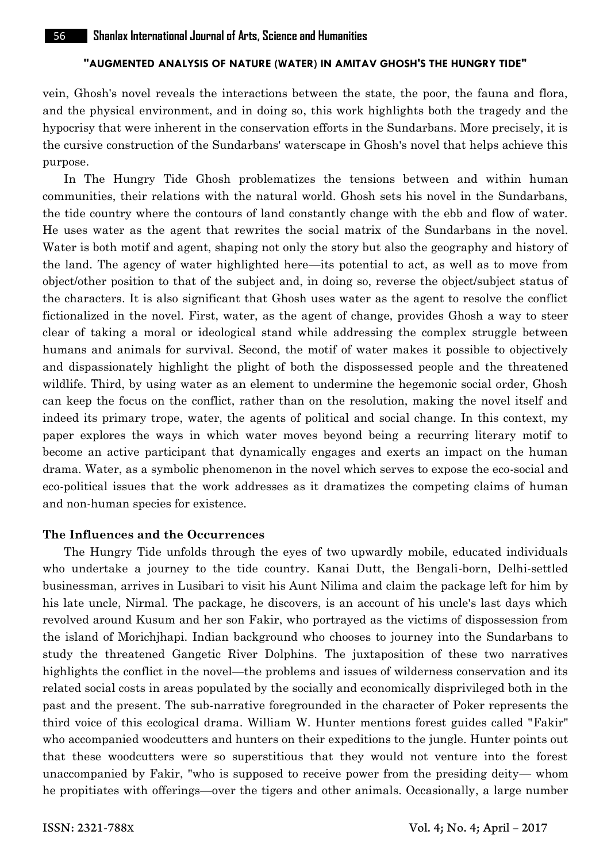#### **"AUGMENTED ANALYSIS OF NATURE (WATER) IN AMITAV GHOSH'S THE HUNGRY TIDE"**

vein, Ghosh's novel reveals the interactions between the state, the poor, the fauna and flora, and the physical environment, and in doing so, this work highlights both the tragedy and the hypocrisy that were inherent in the conservation efforts in the Sundarbans. More precisely, it is the cursive construction of the Sundarbans' waterscape in Ghosh's novel that helps achieve this purpose.

In The Hungry Tide Ghosh problematizes the tensions between and within human communities, their relations with the natural world. Ghosh sets his novel in the Sundarbans, the tide country where the contours of land constantly change with the ebb and flow of water. He uses water as the agent that rewrites the social matrix of the Sundarbans in the novel. Water is both motif and agent, shaping not only the story but also the geography and history of the land. The agency of water highlighted here—its potential to act, as well as to move from object/other position to that of the subject and, in doing so, reverse the object/subject status of the characters. It is also significant that Ghosh uses water as the agent to resolve the conflict fictionalized in the novel. First, water, as the agent of change, provides Ghosh a way to steer clear of taking a moral or ideological stand while addressing the complex struggle between humans and animals for survival. Second, the motif of water makes it possible to objectively and dispassionately highlight the plight of both the dispossessed people and the threatened wildlife. Third, by using water as an element to undermine the hegemonic social order, Ghosh can keep the focus on the conflict, rather than on the resolution, making the novel itself and indeed its primary trope, water, the agents of political and social change. In this context, my paper explores the ways in which water moves beyond being a recurring literary motif to become an active participant that dynamically engages and exerts an impact on the human drama. Water, as a symbolic phenomenon in the novel which serves to expose the eco-social and eco-political issues that the work addresses as it dramatizes the competing claims of human and non-human species for existence.

# **The Influences and the Occurrences**

The Hungry Tide unfolds through the eyes of two upwardly mobile, educated individuals who undertake a journey to the tide country. Kanai Dutt, the Bengali-born, Delhi-settled businessman, arrives in Lusibari to visit his Aunt Nilima and claim the package left for him by his late uncle, Nirmal. The package, he discovers, is an account of his uncle's last days which revolved around Kusum and her son Fakir, who portrayed as the victims of dispossession from the island of Morichjhapi. Indian background who chooses to journey into the Sundarbans to study the threatened Gangetic River Dolphins. The juxtaposition of these two narratives highlights the conflict in the novel—the problems and issues of wilderness conservation and its related social costs in areas populated by the socially and economically disprivileged both in the past and the present. The sub-narrative foregrounded in the character of Poker represents the third voice of this ecological drama. William W. Hunter mentions forest guides called "Fakir" who accompanied woodcutters and hunters on their expeditions to the jungle. Hunter points out that these woodcutters were so superstitious that they would not venture into the forest unaccompanied by Fakir, "who is supposed to receive power from the presiding deity— whom he propitiates with offerings—over the tigers and other animals. Occasionally, a large number